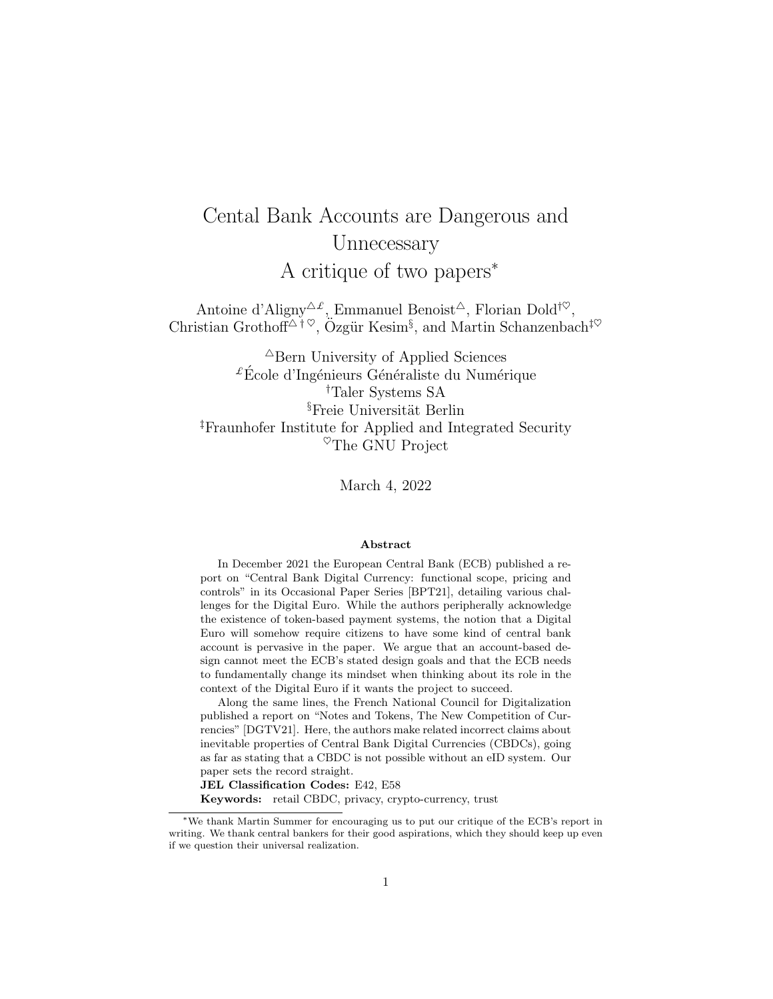# Cental Bank Accounts are Dangerous and Unnecessary A critique of two papers<sup>∗</sup>

Antoine d'Aligny<sup> $\Delta \mathcal{L}$ </sup>, Emmanuel Benoist<sup> $\Delta$ </sup>, Florian Dold<sup>† $\heartsuit$ </sup>, Christian Grothoff<sup> $\Delta^{\dagger}$  $\heartsuit$ ,  $O$ zgür Kesim<sup>§</sup>, and Martin Schanzenbach<sup>‡ $\heartsuit$ </sup></sup>

 $\triangle$ Bern University of Applied Sciences  ${}^{\pounds}\acute{\rm E}$ cole d'Ingénieurs Généraliste du Numérique †Taler Systems SA  $\S$ Freie Universität Berlin ‡Fraunhofer Institute for Applied and Integrated Security  $^{\heartsuit}$ The GNU Project

March 4, 2022

#### Abstract

In December 2021 the European Central Bank (ECB) published a report on "Central Bank Digital Currency: functional scope, pricing and controls" in its Occasional Paper Series [BPT21], detailing various challenges for the Digital Euro. While the authors peripherally acknowledge the existence of token-based payment systems, the notion that a Digital Euro will somehow require citizens to have some kind of central bank account is pervasive in the paper. We argue that an account-based design cannot meet the ECB's stated design goals and that the ECB needs to fundamentally change its mindset when thinking about its role in the context of the Digital Euro if it wants the project to succeed.

Along the same lines, the French National Council for Digitalization published a report on "Notes and Tokens, The New Competition of Currencies" [DGTV21]. Here, the authors make related incorrect claims about inevitable properties of Central Bank Digital Currencies (CBDCs), going as far as stating that a CBDC is not possible without an eID system. Our paper sets the record straight.

JEL Classification Codes: E42, E58

Keywords: retail CBDC, privacy, crypto-currency, trust

<sup>∗</sup>We thank Martin Summer for encouraging us to put our critique of the ECB's report in writing. We thank central bankers for their good aspirations, which they should keep up even if we question their universal realization.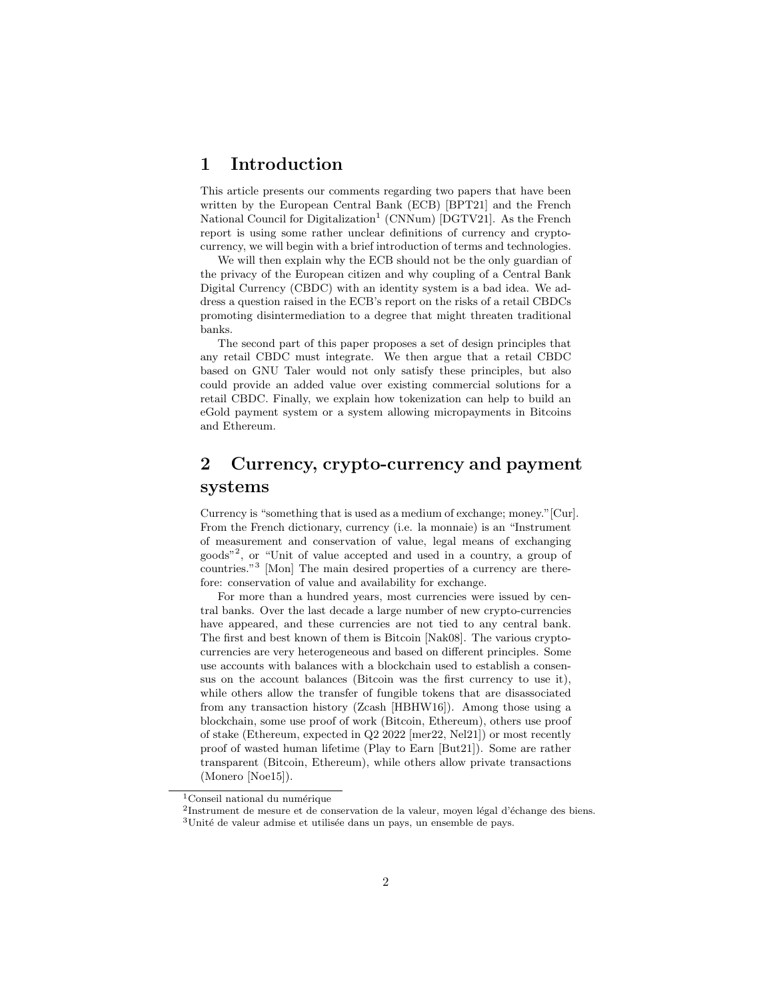### 1 Introduction

This article presents our comments regarding two papers that have been written by the European Central Bank (ECB) [BPT21] and the French National Council for Digitalization<sup>1</sup> (CNNum) [DGTV21]. As the French report is using some rather unclear definitions of currency and cryptocurrency, we will begin with a brief introduction of terms and technologies.

We will then explain why the ECB should not be the only guardian of the privacy of the European citizen and why coupling of a Central Bank Digital Currency (CBDC) with an identity system is a bad idea. We address a question raised in the ECB's report on the risks of a retail CBDCs promoting disintermediation to a degree that might threaten traditional banks.

The second part of this paper proposes a set of design principles that any retail CBDC must integrate. We then argue that a retail CBDC based on GNU Taler would not only satisfy these principles, but also could provide an added value over existing commercial solutions for a retail CBDC. Finally, we explain how tokenization can help to build an eGold payment system or a system allowing micropayments in Bitcoins and Ethereum.

# 2 Currency, crypto-currency and payment systems

Currency is "something that is used as a medium of exchange; money."[Cur]. From the French dictionary, currency (i.e. la monnaie) is an "Instrument of measurement and conservation of value, legal means of exchanging goods"<sup>2</sup> , or "Unit of value accepted and used in a country, a group of countries."<sup>3</sup> [Mon] The main desired properties of a currency are therefore: conservation of value and availability for exchange.

For more than a hundred years, most currencies were issued by central banks. Over the last decade a large number of new crypto-currencies have appeared, and these currencies are not tied to any central bank. The first and best known of them is Bitcoin [Nak08]. The various cryptocurrencies are very heterogeneous and based on different principles. Some use accounts with balances with a blockchain used to establish a consensus on the account balances (Bitcoin was the first currency to use it), while others allow the transfer of fungible tokens that are disassociated from any transaction history (Zcash [HBHW16]). Among those using a blockchain, some use proof of work (Bitcoin, Ethereum), others use proof of stake (Ethereum, expected in Q2 2022 [mer22, Nel21]) or most recently proof of wasted human lifetime (Play to Earn [But21]). Some are rather transparent (Bitcoin, Ethereum), while others allow private transactions (Monero [Noe15]).

 $1$ Conseil national du numérique

 $2$ Instrument de mesure et de conservation de la valeur, moyen légal d'échange des biens.

 $^3 \rm{Unit\'e}$  de valeur admise et utilisée dans un pays, un ensemble de pays.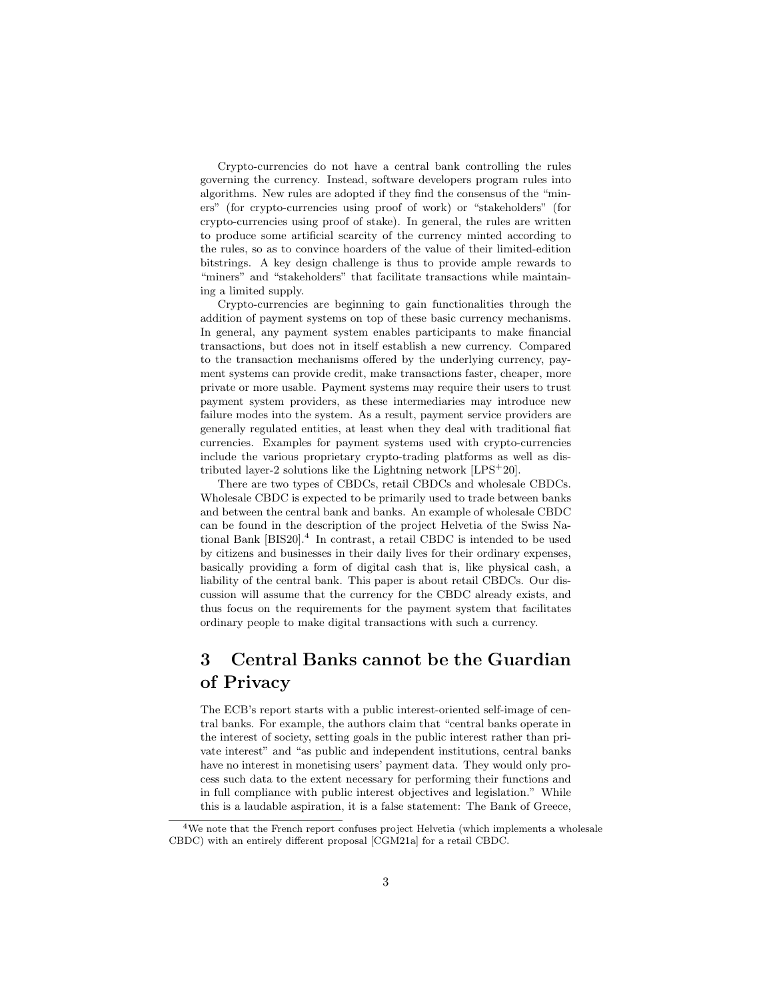Crypto-currencies do not have a central bank controlling the rules governing the currency. Instead, software developers program rules into algorithms. New rules are adopted if they find the consensus of the "miners" (for crypto-currencies using proof of work) or "stakeholders" (for crypto-currencies using proof of stake). In general, the rules are written to produce some artificial scarcity of the currency minted according to the rules, so as to convince hoarders of the value of their limited-edition bitstrings. A key design challenge is thus to provide ample rewards to "miners" and "stakeholders" that facilitate transactions while maintaining a limited supply.

Crypto-currencies are beginning to gain functionalities through the addition of payment systems on top of these basic currency mechanisms. In general, any payment system enables participants to make financial transactions, but does not in itself establish a new currency. Compared to the transaction mechanisms offered by the underlying currency, payment systems can provide credit, make transactions faster, cheaper, more private or more usable. Payment systems may require their users to trust payment system providers, as these intermediaries may introduce new failure modes into the system. As a result, payment service providers are generally regulated entities, at least when they deal with traditional fiat currencies. Examples for payment systems used with crypto-currencies include the various proprietary crypto-trading platforms as well as distributed layer-2 solutions like the Lightning network [LPS<sup>+</sup>20].

There are two types of CBDCs, retail CBDCs and wholesale CBDCs. Wholesale CBDC is expected to be primarily used to trade between banks and between the central bank and banks. An example of wholesale CBDC can be found in the description of the project Helvetia of the Swiss National Bank  $[BIS20]$ <sup>4</sup>. In contrast, a retail CBDC is intended to be used by citizens and businesses in their daily lives for their ordinary expenses, basically providing a form of digital cash that is, like physical cash, a liability of the central bank. This paper is about retail CBDCs. Our discussion will assume that the currency for the CBDC already exists, and thus focus on the requirements for the payment system that facilitates ordinary people to make digital transactions with such a currency.

# 3 Central Banks cannot be the Guardian of Privacy

The ECB's report starts with a public interest-oriented self-image of central banks. For example, the authors claim that "central banks operate in the interest of society, setting goals in the public interest rather than private interest" and "as public and independent institutions, central banks have no interest in monetising users' payment data. They would only process such data to the extent necessary for performing their functions and in full compliance with public interest objectives and legislation." While this is a laudable aspiration, it is a false statement: The Bank of Greece,

<sup>4</sup>We note that the French report confuses project Helvetia (which implements a wholesale CBDC) with an entirely different proposal [CGM21a] for a retail CBDC.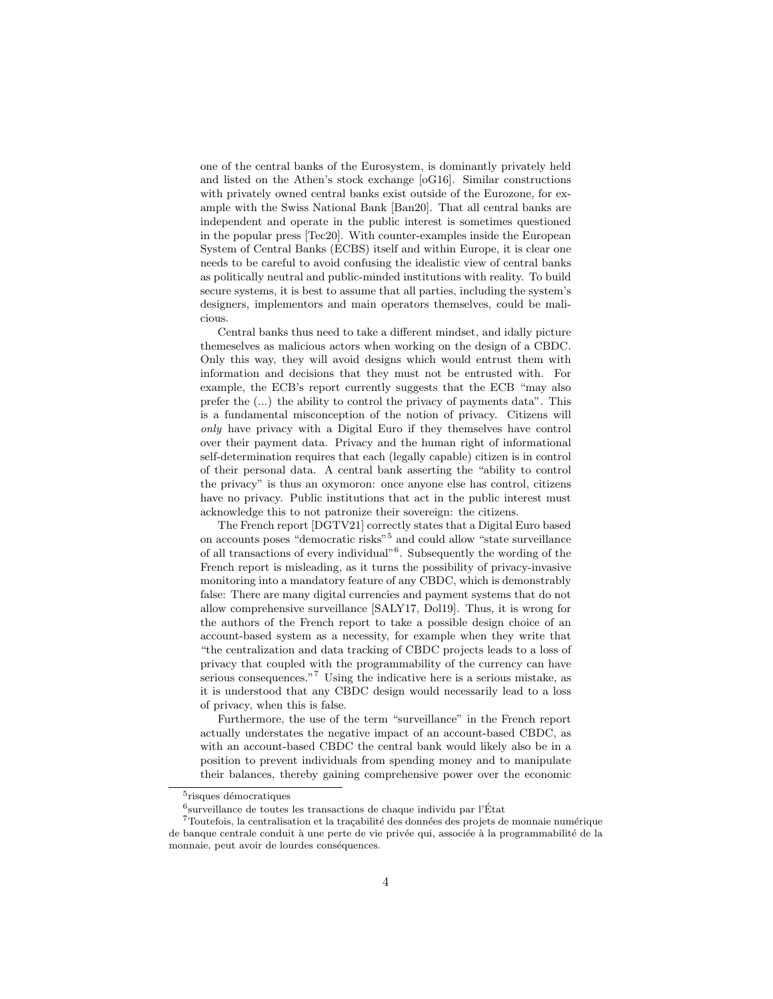one of the central banks of the Eurosystem, is dominantly privately held and listed on the Athen's stock exchange [oG16]. Similar constructions with privately owned central banks exist outside of the Eurozone, for example with the Swiss National Bank [Ban20]. That all central banks are independent and operate in the public interest is sometimes questioned in the popular press [Tec20]. With counter-examples inside the European System of Central Banks (ECBS) itself and within Europe, it is clear one needs to be careful to avoid confusing the idealistic view of central banks as politically neutral and public-minded institutions with reality. To build secure systems, it is best to assume that all parties, including the system's designers, implementors and main operators themselves, could be malicious.

Central banks thus need to take a different mindset, and idally picture themeselves as malicious actors when working on the design of a CBDC. Only this way, they will avoid designs which would entrust them with information and decisions that they must not be entrusted with. For example, the ECB's report currently suggests that the ECB "may also prefer the (...) the ability to control the privacy of payments data". This is a fundamental misconception of the notion of privacy. Citizens will only have privacy with a Digital Euro if they themselves have control over their payment data. Privacy and the human right of informational self-determination requires that each (legally capable) citizen is in control of their personal data. A central bank asserting the "ability to control the privacy" is thus an oxymoron: once anyone else has control, citizens have no privacy. Public institutions that act in the public interest must acknowledge this to not patronize their sovereign: the citizens.

The French report [DGTV21] correctly states that a Digital Euro based on accounts poses "democratic risks"<sup>5</sup> and could allow "state surveillance of all transactions of every individual"<sup>6</sup>. Subsequently the wording of the French report is misleading, as it turns the possibility of privacy-invasive monitoring into a mandatory feature of any CBDC, which is demonstrably false: There are many digital currencies and payment systems that do not allow comprehensive surveillance [SALY17, Dol19]. Thus, it is wrong for the authors of the French report to take a possible design choice of an account-based system as a necessity, for example when they write that "the centralization and data tracking of CBDC projects leads to a loss of privacy that coupled with the programmability of the currency can have serious consequences."<sup>7</sup> Using the indicative here is a serious mistake, as it is understood that any CBDC design would necessarily lead to a loss of privacy, when this is false.

Furthermore, the use of the term "surveillance" in the French report actually understates the negative impact of an account-based CBDC, as with an account-based CBDC the central bank would likely also be in a position to prevent individuals from spending money and to manipulate their balances, thereby gaining comprehensive power over the economic

 $5$ risques démocratiques

 $^6$ surveillance de toutes les transactions de chaque individu par l'État

 $7$ Toutefois, la centralisation et la traçabilité des données des projets de monnaie numérique de banque centrale conduit à une perte de vie privée qui, associée à la programmabilité de la monnaie, peut avoir de lourdes conséquences.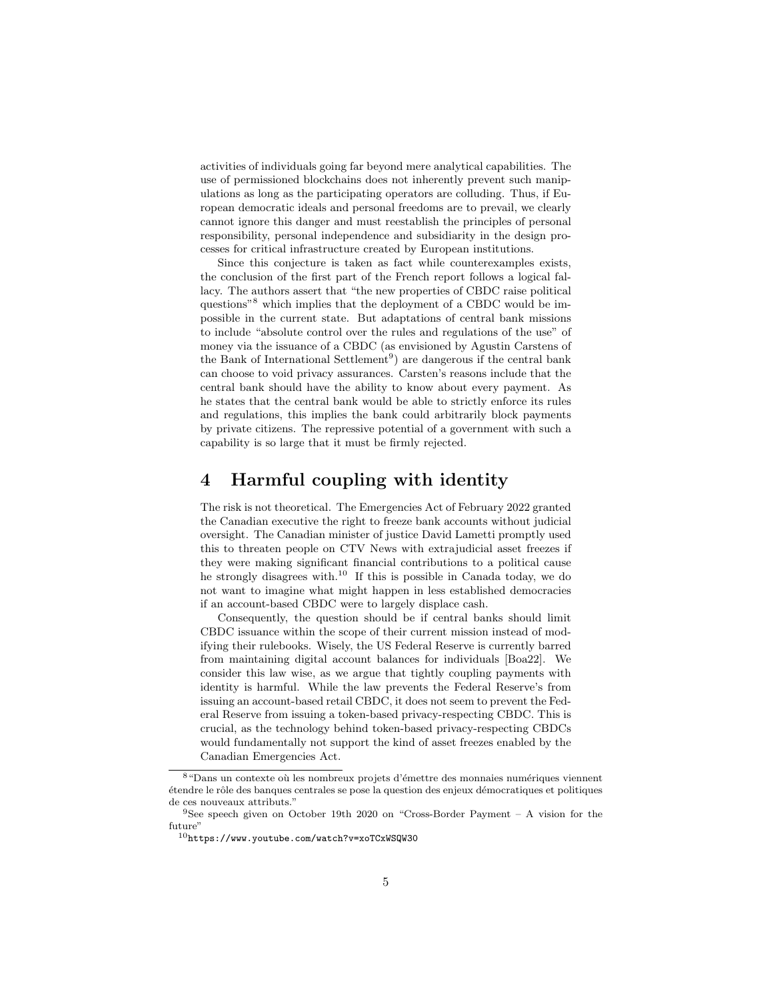activities of individuals going far beyond mere analytical capabilities. The use of permissioned blockchains does not inherently prevent such manipulations as long as the participating operators are colluding. Thus, if European democratic ideals and personal freedoms are to prevail, we clearly cannot ignore this danger and must reestablish the principles of personal responsibility, personal independence and subsidiarity in the design processes for critical infrastructure created by European institutions.

Since this conjecture is taken as fact while counterexamples exists, the conclusion of the first part of the French report follows a logical fallacy. The authors assert that "the new properties of CBDC raise political questions" $8$ <sup>8</sup> which implies that the deployment of a CBDC would be impossible in the current state. But adaptations of central bank missions to include "absolute control over the rules and regulations of the use" of money via the issuance of a CBDC (as envisioned by Agustin Carstens of the Bank of International Settlement<sup>9</sup>) are dangerous if the central bank can choose to void privacy assurances. Carsten's reasons include that the central bank should have the ability to know about every payment. As he states that the central bank would be able to strictly enforce its rules and regulations, this implies the bank could arbitrarily block payments by private citizens. The repressive potential of a government with such a capability is so large that it must be firmly rejected.

### 4 Harmful coupling with identity

The risk is not theoretical. The Emergencies Act of February 2022 granted the Canadian executive the right to freeze bank accounts without judicial oversight. The Canadian minister of justice David Lametti promptly used this to threaten people on CTV News with extrajudicial asset freezes if they were making significant financial contributions to a political cause he strongly disagrees with.<sup>10</sup> If this is possible in Canada today, we do not want to imagine what might happen in less established democracies if an account-based CBDC were to largely displace cash.

Consequently, the question should be if central banks should limit CBDC issuance within the scope of their current mission instead of modifying their rulebooks. Wisely, the US Federal Reserve is currently barred from maintaining digital account balances for individuals [Boa22]. We consider this law wise, as we argue that tightly coupling payments with identity is harmful. While the law prevents the Federal Reserve's from issuing an account-based retail CBDC, it does not seem to prevent the Federal Reserve from issuing a token-based privacy-respecting CBDC. This is crucial, as the technology behind token-based privacy-respecting CBDCs would fundamentally not support the kind of asset freezes enabled by the Canadian Emergencies Act.

 $8$  "Dans un contexte où les nombreux projets d'émettre des monnaies numériques viennent étendre le rôle des banques centrales se pose la question des enjeux démocratiques et politiques de ces nouveaux attributs."

<sup>&</sup>lt;sup>9</sup>See speech given on October 19th 2020 on "Cross-Border Payment – A vision for the future'

<sup>10</sup>https://www.youtube.com/watch?v=xoTCxWSQW30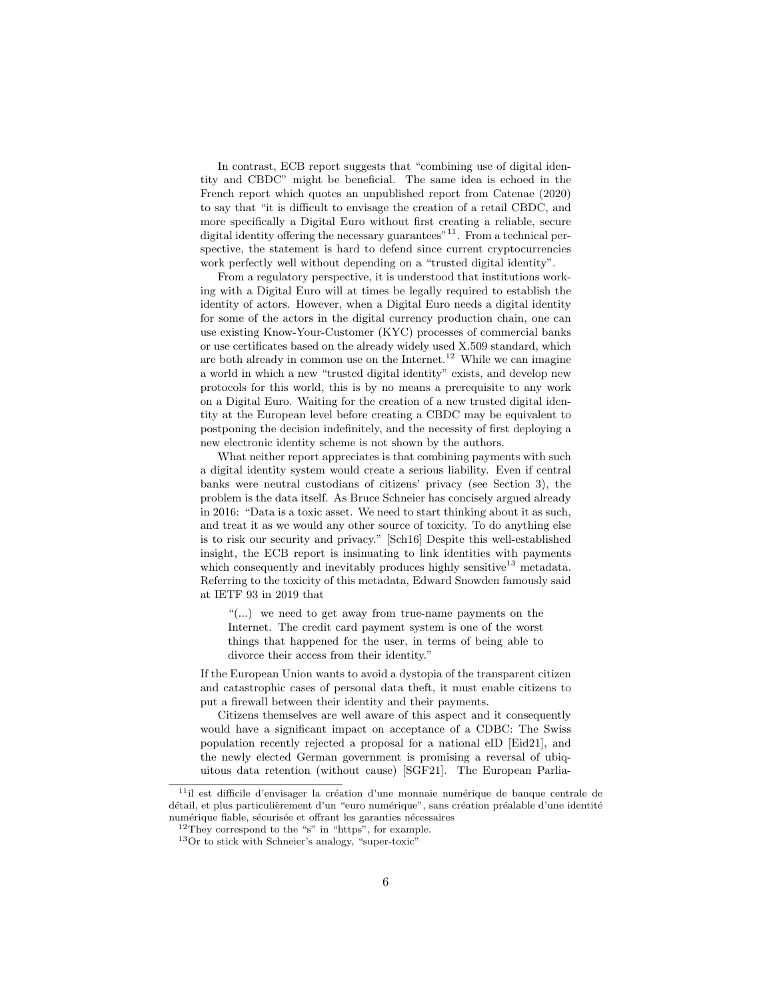In contrast, ECB report suggests that "combining use of digital identity and CBDC" might be beneficial. The same idea is echoed in the French report which quotes an unpublished report from Catenae (2020) to say that "it is difficult to envisage the creation of a retail CBDC, and more specifically a Digital Euro without first creating a reliable, secure digital identity offering the necessary guarantees"<sup>11</sup>. From a technical perspective, the statement is hard to defend since current cryptocurrencies work perfectly well without depending on a "trusted digital identity".

From a regulatory perspective, it is understood that institutions working with a Digital Euro will at times be legally required to establish the identity of actors. However, when a Digital Euro needs a digital identity for some of the actors in the digital currency production chain, one can use existing Know-Your-Customer (KYC) processes of commercial banks or use certificates based on the already widely used X.509 standard, which are both already in common use on the Internet.<sup>12</sup> While we can imagine a world in which a new "trusted digital identity" exists, and develop new protocols for this world, this is by no means a prerequisite to any work on a Digital Euro. Waiting for the creation of a new trusted digital identity at the European level before creating a CBDC may be equivalent to postponing the decision indefinitely, and the necessity of first deploying a new electronic identity scheme is not shown by the authors.

What neither report appreciates is that combining payments with such a digital identity system would create a serious liability. Even if central banks were neutral custodians of citizens' privacy (see Section 3), the problem is the data itself. As Bruce Schneier has concisely argued already in 2016: "Data is a toxic asset. We need to start thinking about it as such, and treat it as we would any other source of toxicity. To do anything else is to risk our security and privacy." [Sch16] Despite this well-established insight, the ECB report is insinuating to link identities with payments which consequently and inevitably produces highly sensitive<sup>13</sup> metadata. Referring to the toxicity of this metadata, Edward Snowden famously said at IETF 93 in 2019 that

"(...) we need to get away from true-name payments on the Internet. The credit card payment system is one of the worst things that happened for the user, in terms of being able to divorce their access from their identity."

If the European Union wants to avoid a dystopia of the transparent citizen and catastrophic cases of personal data theft, it must enable citizens to put a firewall between their identity and their payments.

Citizens themselves are well aware of this aspect and it consequently would have a significant impact on acceptance of a CDBC: The Swiss population recently rejected a proposal for a national eID [Eid21], and the newly elected German government is promising a reversal of ubiquitous data retention (without cause) [SGF21]. The European Parlia-

 $11$ il est difficile d'envisager la création d'une monnaie numérique de banque centrale de détail, et plus particulièrement d'un "euro numérique", sans création préalable d'une identité numérique fiable, sécurisée et offrant les garanties nécessaires

 $12$ They correspond to the "s" in "https", for example.

<sup>13</sup>Or to stick with Schneier's analogy, "super-toxic"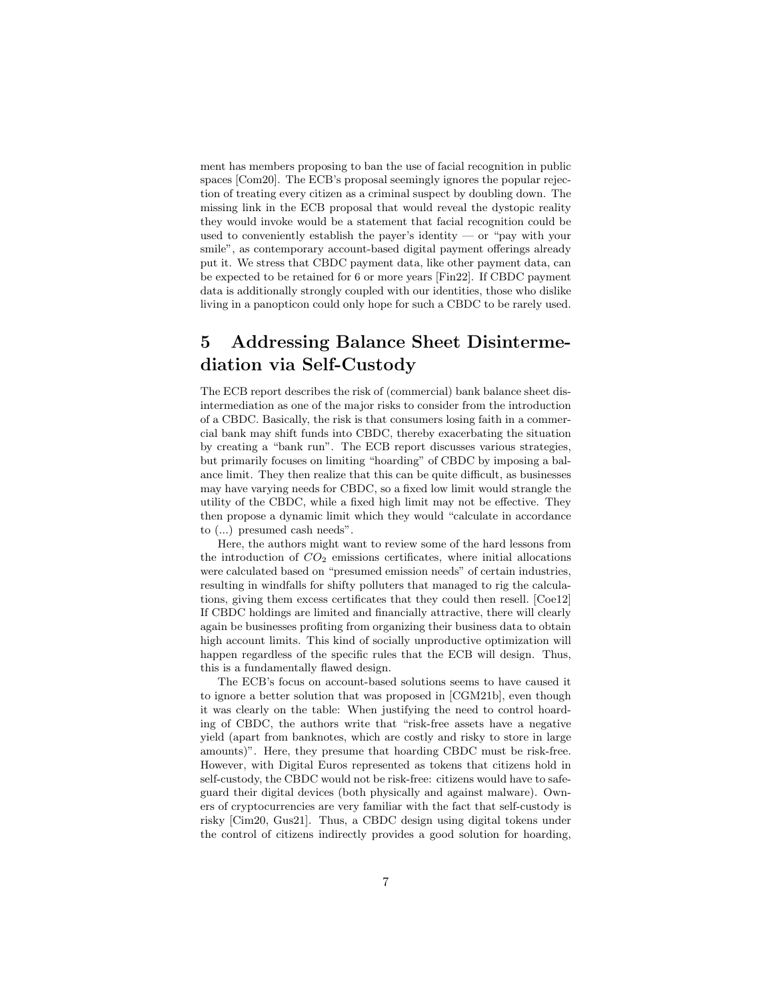ment has members proposing to ban the use of facial recognition in public spaces [Com20]. The ECB's proposal seemingly ignores the popular rejection of treating every citizen as a criminal suspect by doubling down. The missing link in the ECB proposal that would reveal the dystopic reality they would invoke would be a statement that facial recognition could be used to conveniently establish the payer's identity — or "pay with your smile", as contemporary account-based digital payment offerings already put it. We stress that CBDC payment data, like other payment data, can be expected to be retained for 6 or more years [Fin22]. If CBDC payment data is additionally strongly coupled with our identities, those who dislike living in a panopticon could only hope for such a CBDC to be rarely used.

# 5 Addressing Balance Sheet Disintermediation via Self-Custody

The ECB report describes the risk of (commercial) bank balance sheet disintermediation as one of the major risks to consider from the introduction of a CBDC. Basically, the risk is that consumers losing faith in a commercial bank may shift funds into CBDC, thereby exacerbating the situation by creating a "bank run". The ECB report discusses various strategies, but primarily focuses on limiting "hoarding" of CBDC by imposing a balance limit. They then realize that this can be quite difficult, as businesses may have varying needs for CBDC, so a fixed low limit would strangle the utility of the CBDC, while a fixed high limit may not be effective. They then propose a dynamic limit which they would "calculate in accordance to (...) presumed cash needs".

Here, the authors might want to review some of the hard lessons from the introduction of  $CO<sub>2</sub>$  emissions certificates, where initial allocations were calculated based on "presumed emission needs" of certain industries, resulting in windfalls for shifty polluters that managed to rig the calculations, giving them excess certificates that they could then resell. [Coe12] If CBDC holdings are limited and financially attractive, there will clearly again be businesses profiting from organizing their business data to obtain high account limits. This kind of socially unproductive optimization will happen regardless of the specific rules that the ECB will design. Thus, this is a fundamentally flawed design.

The ECB's focus on account-based solutions seems to have caused it to ignore a better solution that was proposed in [CGM21b], even though it was clearly on the table: When justifying the need to control hoarding of CBDC, the authors write that "risk-free assets have a negative yield (apart from banknotes, which are costly and risky to store in large amounts)". Here, they presume that hoarding CBDC must be risk-free. However, with Digital Euros represented as tokens that citizens hold in self-custody, the CBDC would not be risk-free: citizens would have to safeguard their digital devices (both physically and against malware). Owners of cryptocurrencies are very familiar with the fact that self-custody is risky [Cim20, Gus21]. Thus, a CBDC design using digital tokens under the control of citizens indirectly provides a good solution for hoarding,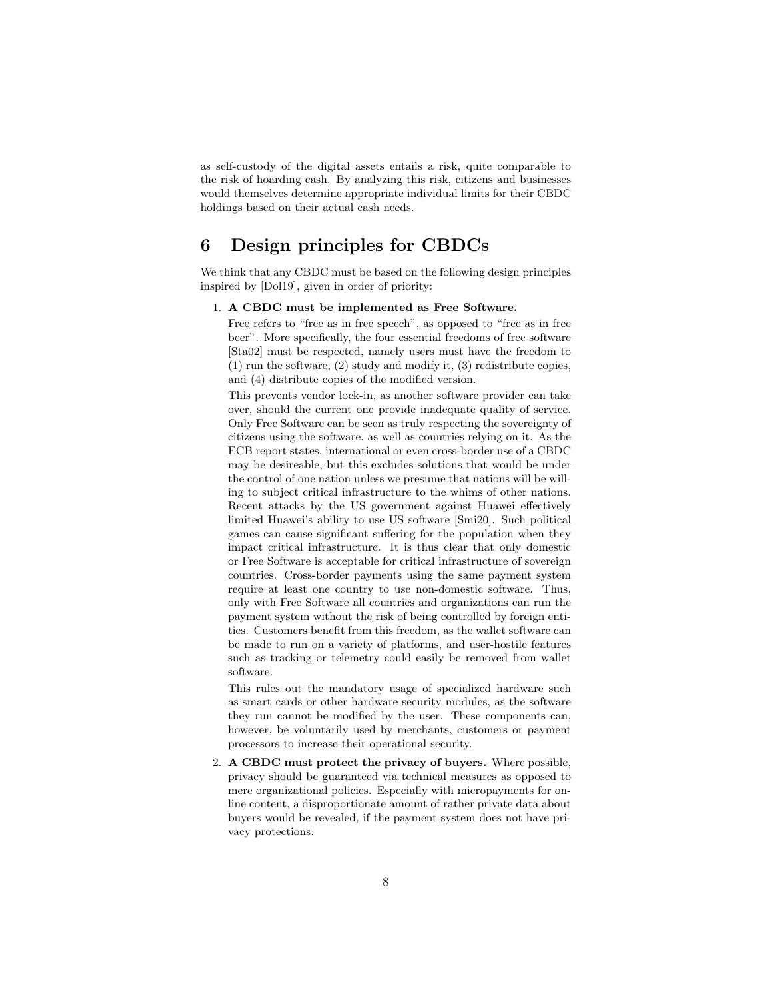as self-custody of the digital assets entails a risk, quite comparable to the risk of hoarding cash. By analyzing this risk, citizens and businesses would themselves determine appropriate individual limits for their CBDC holdings based on their actual cash needs.

### 6 Design principles for CBDCs

We think that any CBDC must be based on the following design principles inspired by [Dol19], given in order of priority:

#### 1. A CBDC must be implemented as Free Software.

Free refers to "free as in free speech", as opposed to "free as in free beer". More specifically, the four essential freedoms of free software [Sta02] must be respected, namely users must have the freedom to (1) run the software, (2) study and modify it, (3) redistribute copies, and (4) distribute copies of the modified version.

This prevents vendor lock-in, as another software provider can take over, should the current one provide inadequate quality of service. Only Free Software can be seen as truly respecting the sovereignty of citizens using the software, as well as countries relying on it. As the ECB report states, international or even cross-border use of a CBDC may be desireable, but this excludes solutions that would be under the control of one nation unless we presume that nations will be willing to subject critical infrastructure to the whims of other nations. Recent attacks by the US government against Huawei effectively limited Huawei's ability to use US software [Smi20]. Such political games can cause significant suffering for the population when they impact critical infrastructure. It is thus clear that only domestic or Free Software is acceptable for critical infrastructure of sovereign countries. Cross-border payments using the same payment system require at least one country to use non-domestic software. Thus, only with Free Software all countries and organizations can run the payment system without the risk of being controlled by foreign entities. Customers benefit from this freedom, as the wallet software can be made to run on a variety of platforms, and user-hostile features such as tracking or telemetry could easily be removed from wallet software.

This rules out the mandatory usage of specialized hardware such as smart cards or other hardware security modules, as the software they run cannot be modified by the user. These components can, however, be voluntarily used by merchants, customers or payment processors to increase their operational security.

2. A CBDC must protect the privacy of buyers. Where possible, privacy should be guaranteed via technical measures as opposed to mere organizational policies. Especially with micropayments for online content, a disproportionate amount of rather private data about buyers would be revealed, if the payment system does not have privacy protections.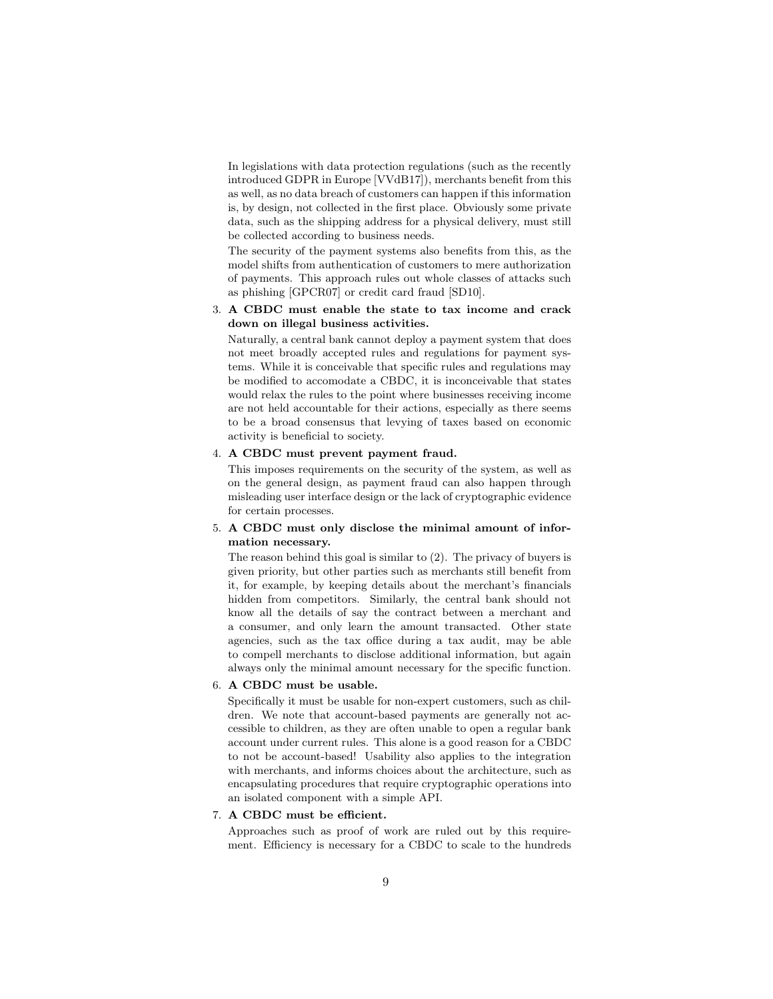In legislations with data protection regulations (such as the recently introduced GDPR in Europe [VVdB17]), merchants benefit from this as well, as no data breach of customers can happen if this information is, by design, not collected in the first place. Obviously some private data, such as the shipping address for a physical delivery, must still be collected according to business needs.

The security of the payment systems also benefits from this, as the model shifts from authentication of customers to mere authorization of payments. This approach rules out whole classes of attacks such as phishing [GPCR07] or credit card fraud [SD10].

#### 3. A CBDC must enable the state to tax income and crack down on illegal business activities.

Naturally, a central bank cannot deploy a payment system that does not meet broadly accepted rules and regulations for payment systems. While it is conceivable that specific rules and regulations may be modified to accomodate a CBDC, it is inconceivable that states would relax the rules to the point where businesses receiving income are not held accountable for their actions, especially as there seems to be a broad consensus that levying of taxes based on economic activity is beneficial to society.

#### 4. A CBDC must prevent payment fraud.

This imposes requirements on the security of the system, as well as on the general design, as payment fraud can also happen through misleading user interface design or the lack of cryptographic evidence for certain processes.

#### 5. A CBDC must only disclose the minimal amount of information necessary.

The reason behind this goal is similar to (2). The privacy of buyers is given priority, but other parties such as merchants still benefit from it, for example, by keeping details about the merchant's financials hidden from competitors. Similarly, the central bank should not know all the details of say the contract between a merchant and a consumer, and only learn the amount transacted. Other state agencies, such as the tax office during a tax audit, may be able to compell merchants to disclose additional information, but again always only the minimal amount necessary for the specific function.

#### 6. A CBDC must be usable.

Specifically it must be usable for non-expert customers, such as children. We note that account-based payments are generally not accessible to children, as they are often unable to open a regular bank account under current rules. This alone is a good reason for a CBDC to not be account-based! Usability also applies to the integration with merchants, and informs choices about the architecture, such as encapsulating procedures that require cryptographic operations into an isolated component with a simple API.

#### 7. A CBDC must be efficient.

Approaches such as proof of work are ruled out by this requirement. Efficiency is necessary for a CBDC to scale to the hundreds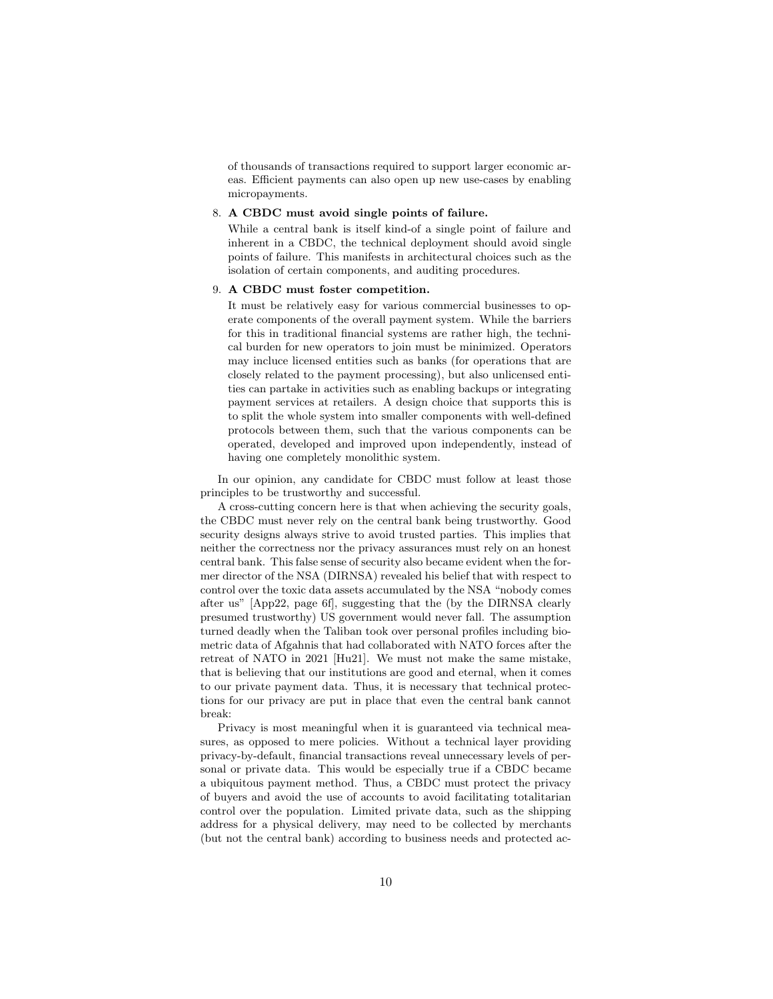of thousands of transactions required to support larger economic areas. Efficient payments can also open up new use-cases by enabling micropayments.

#### 8. A CBDC must avoid single points of failure.

While a central bank is itself kind-of a single point of failure and inherent in a CBDC, the technical deployment should avoid single points of failure. This manifests in architectural choices such as the isolation of certain components, and auditing procedures.

#### 9. A CBDC must foster competition.

It must be relatively easy for various commercial businesses to operate components of the overall payment system. While the barriers for this in traditional financial systems are rather high, the technical burden for new operators to join must be minimized. Operators may incluce licensed entities such as banks (for operations that are closely related to the payment processing), but also unlicensed entities can partake in activities such as enabling backups or integrating payment services at retailers. A design choice that supports this is to split the whole system into smaller components with well-defined protocols between them, such that the various components can be operated, developed and improved upon independently, instead of having one completely monolithic system.

In our opinion, any candidate for CBDC must follow at least those principles to be trustworthy and successful.

A cross-cutting concern here is that when achieving the security goals, the CBDC must never rely on the central bank being trustworthy. Good security designs always strive to avoid trusted parties. This implies that neither the correctness nor the privacy assurances must rely on an honest central bank. This false sense of security also became evident when the former director of the NSA (DIRNSA) revealed his belief that with respect to control over the toxic data assets accumulated by the NSA "nobody comes after us" [App22, page 6f], suggesting that the (by the DIRNSA clearly presumed trustworthy) US government would never fall. The assumption turned deadly when the Taliban took over personal profiles including biometric data of Afgahnis that had collaborated with NATO forces after the retreat of NATO in 2021 [Hu21]. We must not make the same mistake, that is believing that our institutions are good and eternal, when it comes to our private payment data. Thus, it is necessary that technical protections for our privacy are put in place that even the central bank cannot break:

Privacy is most meaningful when it is guaranteed via technical measures, as opposed to mere policies. Without a technical layer providing privacy-by-default, financial transactions reveal unnecessary levels of personal or private data. This would be especially true if a CBDC became a ubiquitous payment method. Thus, a CBDC must protect the privacy of buyers and avoid the use of accounts to avoid facilitating totalitarian control over the population. Limited private data, such as the shipping address for a physical delivery, may need to be collected by merchants (but not the central bank) according to business needs and protected ac-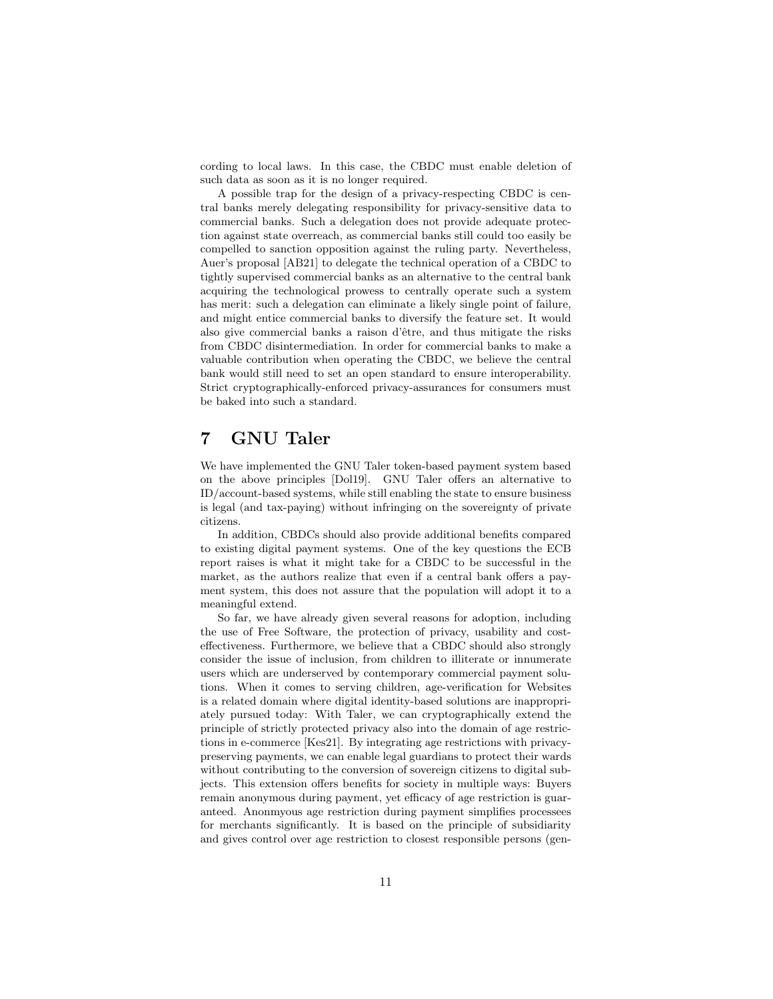cording to local laws. In this case, the CBDC must enable deletion of such data as soon as it is no longer required.

A possible trap for the design of a privacy-respecting CBDC is central banks merely delegating responsibility for privacy-sensitive data to commercial banks. Such a delegation does not provide adequate protection against state overreach, as commercial banks still could too easily be compelled to sanction opposition against the ruling party. Nevertheless, Auer's proposal [AB21] to delegate the technical operation of a CBDC to tightly supervised commercial banks as an alternative to the central bank acquiring the technological prowess to centrally operate such a system has merit: such a delegation can eliminate a likely single point of failure, and might entice commercial banks to diversify the feature set. It would also give commercial banks a raison d'être, and thus mitigate the risks from CBDC disintermediation. In order for commercial banks to make a valuable contribution when operating the CBDC, we believe the central bank would still need to set an open standard to ensure interoperability. Strict cryptographically-enforced privacy-assurances for consumers must be baked into such a standard.

### 7 GNU Taler

We have implemented the GNU Taler token-based payment system based on the above principles [Dol19]. GNU Taler offers an alternative to ID/account-based systems, while still enabling the state to ensure business is legal (and tax-paying) without infringing on the sovereignty of private citizens.

In addition, CBDCs should also provide additional benefits compared to existing digital payment systems. One of the key questions the ECB report raises is what it might take for a CBDC to be successful in the market, as the authors realize that even if a central bank offers a payment system, this does not assure that the population will adopt it to a meaningful extend.

So far, we have already given several reasons for adoption, including the use of Free Software, the protection of privacy, usability and costeffectiveness. Furthermore, we believe that a CBDC should also strongly consider the issue of inclusion, from children to illiterate or innumerate users which are underserved by contemporary commercial payment solutions. When it comes to serving children, age-verification for Websites is a related domain where digital identity-based solutions are inappropriately pursued today: With Taler, we can cryptographically extend the principle of strictly protected privacy also into the domain of age restrictions in e-commerce [Kes21]. By integrating age restrictions with privacypreserving payments, we can enable legal guardians to protect their wards without contributing to the conversion of sovereign citizens to digital subjects. This extension offers benefits for society in multiple ways: Buyers remain anonymous during payment, yet efficacy of age restriction is guaranteed. Anonmyous age restriction during payment simplifies processees for merchants significantly. It is based on the principle of subsidiarity and gives control over age restriction to closest responsible persons (gen-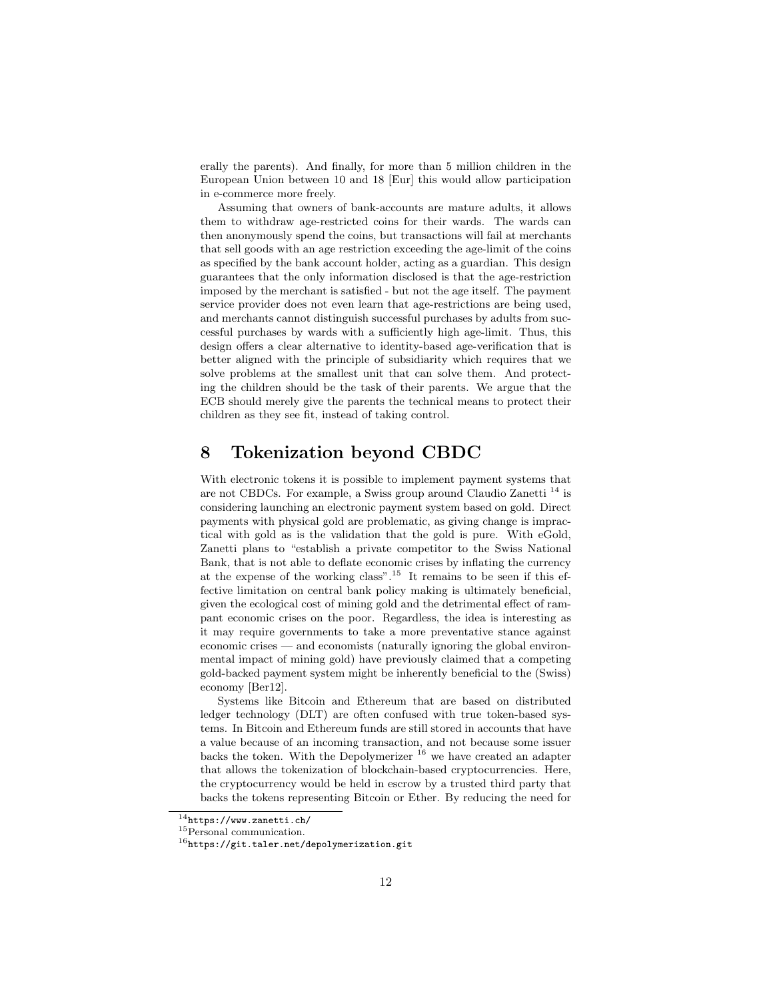erally the parents). And finally, for more than 5 million children in the European Union between 10 and 18 [Eur] this would allow participation in e-commerce more freely.

Assuming that owners of bank-accounts are mature adults, it allows them to withdraw age-restricted coins for their wards. The wards can then anonymously spend the coins, but transactions will fail at merchants that sell goods with an age restriction exceeding the age-limit of the coins as specified by the bank account holder, acting as a guardian. This design guarantees that the only information disclosed is that the age-restriction imposed by the merchant is satisfied - but not the age itself. The payment service provider does not even learn that age-restrictions are being used, and merchants cannot distinguish successful purchases by adults from successful purchases by wards with a sufficiently high age-limit. Thus, this design offers a clear alternative to identity-based age-verification that is better aligned with the principle of subsidiarity which requires that we solve problems at the smallest unit that can solve them. And protecting the children should be the task of their parents. We argue that the ECB should merely give the parents the technical means to protect their children as they see fit, instead of taking control.

### 8 Tokenization beyond CBDC

With electronic tokens it is possible to implement payment systems that are not CBDCs. For example, a Swiss group around Claudio Zanetti <sup>14</sup> is considering launching an electronic payment system based on gold. Direct payments with physical gold are problematic, as giving change is impractical with gold as is the validation that the gold is pure. With eGold, Zanetti plans to "establish a private competitor to the Swiss National Bank, that is not able to deflate economic crises by inflating the currency at the expense of the working class".<sup>15</sup> It remains to be seen if this effective limitation on central bank policy making is ultimately beneficial, given the ecological cost of mining gold and the detrimental effect of rampant economic crises on the poor. Regardless, the idea is interesting as it may require governments to take a more preventative stance against economic crises — and economists (naturally ignoring the global environmental impact of mining gold) have previously claimed that a competing gold-backed payment system might be inherently beneficial to the (Swiss) economy [Ber12].

Systems like Bitcoin and Ethereum that are based on distributed ledger technology (DLT) are often confused with true token-based systems. In Bitcoin and Ethereum funds are still stored in accounts that have a value because of an incoming transaction, and not because some issuer backs the token. With the Depolymerizer  $16$  we have created an adapter that allows the tokenization of blockchain-based cryptocurrencies. Here, the cryptocurrency would be held in escrow by a trusted third party that backs the tokens representing Bitcoin or Ether. By reducing the need for

<sup>14</sup>https://www.zanetti.ch/

<sup>&</sup>lt;sup>15</sup>Personal communication.

 $^{16}{\tt \small https://git.taler.net/depolymerization.get}$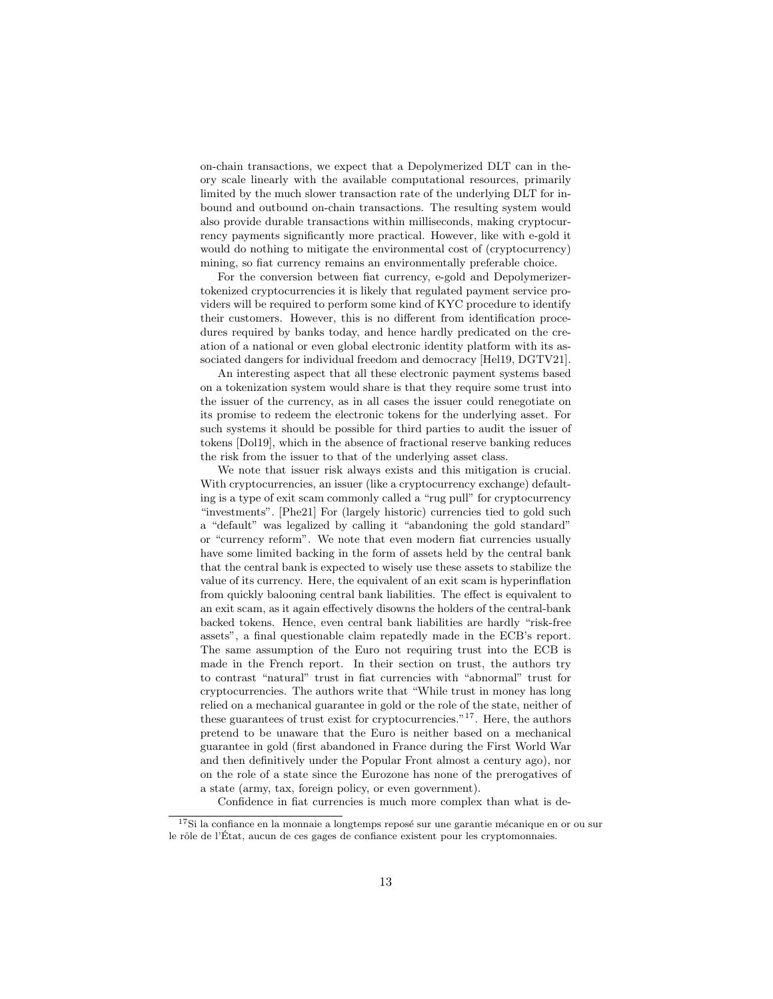on-chain transactions, we expect that a Depolymerized DLT can in theory scale linearly with the available computational resources, primarily limited by the much slower transaction rate of the underlying DLT for inbound and outbound on-chain transactions. The resulting system would also provide durable transactions within milliseconds, making cryptocurrency payments significantly more practical. However, like with e-gold it would do nothing to mitigate the environmental cost of (cryptocurrency) mining, so fiat currency remains an environmentally preferable choice.

For the conversion between fiat currency, e-gold and Depolymerizertokenized cryptocurrencies it is likely that regulated payment service providers will be required to perform some kind of KYC procedure to identify their customers. However, this is no different from identification procedures required by banks today, and hence hardly predicated on the creation of a national or even global electronic identity platform with its associated dangers for individual freedom and democracy [Hel19, DGTV21].

An interesting aspect that all these electronic payment systems based on a tokenization system would share is that they require some trust into the issuer of the currency, as in all cases the issuer could renegotiate on its promise to redeem the electronic tokens for the underlying asset. For such systems it should be possible for third parties to audit the issuer of tokens [Dol19], which in the absence of fractional reserve banking reduces the risk from the issuer to that of the underlying asset class.

We note that issuer risk always exists and this mitigation is crucial. With cryptocurrencies, an issuer (like a cryptocurrency exchange) defaulting is a type of exit scam commonly called a "rug pull" for cryptocurrency "investments". [Phe21] For (largely historic) currencies tied to gold such a "default" was legalized by calling it "abandoning the gold standard" or "currency reform". We note that even modern fiat currencies usually have some limited backing in the form of assets held by the central bank that the central bank is expected to wisely use these assets to stabilize the value of its currency. Here, the equivalent of an exit scam is hyperinflation from quickly balooning central bank liabilities. The effect is equivalent to an exit scam, as it again effectively disowns the holders of the central-bank backed tokens. Hence, even central bank liabilities are hardly "risk-free assets", a final questionable claim repatedly made in the ECB's report. The same assumption of the Euro not requiring trust into the ECB is made in the French report. In their section on trust, the authors try to contrast "natural" trust in fiat currencies with "abnormal" trust for cryptocurrencies. The authors write that "While trust in money has long relied on a mechanical guarantee in gold or the role of the state, neither of these guarantees of trust exist for cryptocurrencies.<sup> $n<sup>17</sup>$ </sup>. Here, the authors pretend to be unaware that the Euro is neither based on a mechanical guarantee in gold (first abandoned in France during the First World War and then definitively under the Popular Front almost a century ago), nor on the role of a state since the Eurozone has none of the prerogatives of a state (army, tax, foreign policy, or even government).

Confidence in fiat currencies is much more complex than what is de-

 $^{17}{\rm Si}$ la confiance en la monnaie a longtemps reposé sur une garantie mécanique en or ou sur le rôle de l'État, aucun de ces gages de confiance existent pour les cryptomonnaies.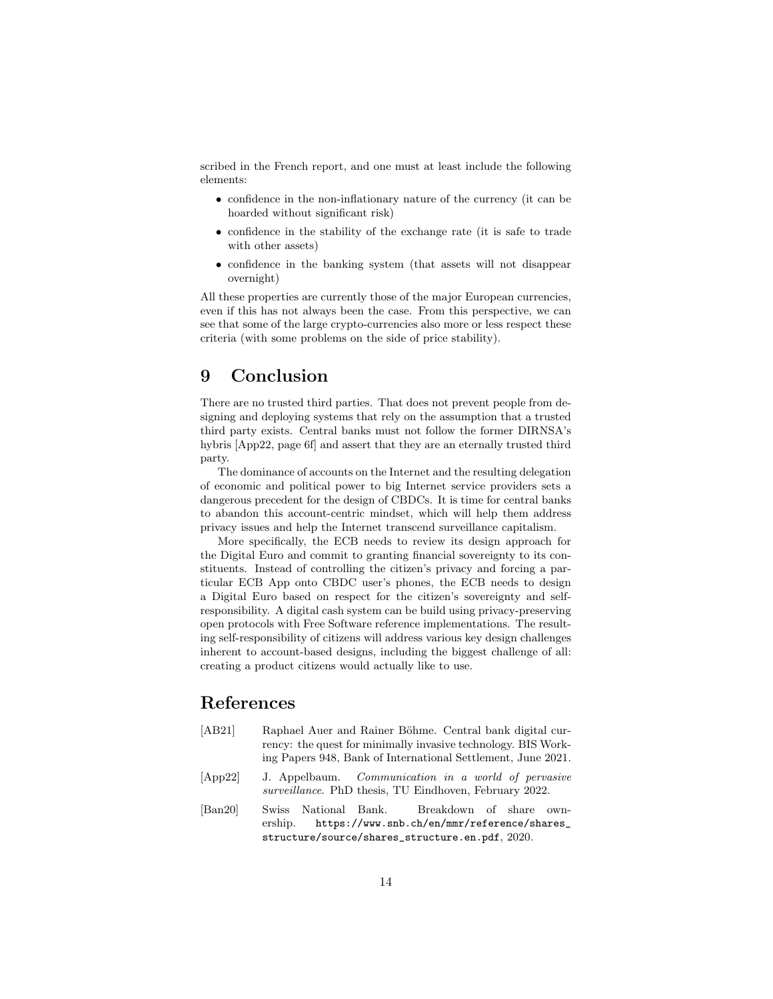scribed in the French report, and one must at least include the following elements:

- confidence in the non-inflationary nature of the currency (it can be hoarded without significant risk)
- confidence in the stability of the exchange rate (it is safe to trade with other assets)
- confidence in the banking system (that assets will not disappear overnight)

All these properties are currently those of the major European currencies, even if this has not always been the case. From this perspective, we can see that some of the large crypto-currencies also more or less respect these criteria (with some problems on the side of price stability).

### 9 Conclusion

There are no trusted third parties. That does not prevent people from designing and deploying systems that rely on the assumption that a trusted third party exists. Central banks must not follow the former DIRNSA's hybris [App22, page 6f] and assert that they are an eternally trusted third party.

The dominance of accounts on the Internet and the resulting delegation of economic and political power to big Internet service providers sets a dangerous precedent for the design of CBDCs. It is time for central banks to abandon this account-centric mindset, which will help them address privacy issues and help the Internet transcend surveillance capitalism.

More specifically, the ECB needs to review its design approach for the Digital Euro and commit to granting financial sovereignty to its constituents. Instead of controlling the citizen's privacy and forcing a particular ECB App onto CBDC user's phones, the ECB needs to design a Digital Euro based on respect for the citizen's sovereignty and selfresponsibility. A digital cash system can be build using privacy-preserving open protocols with Free Software reference implementations. The resulting self-responsibility of citizens will address various key design challenges inherent to account-based designs, including the biggest challenge of all: creating a product citizens would actually like to use.

## References

- [AB21] Raphael Auer and Rainer Böhme. Central bank digital currency: the quest for minimally invasive technology. BIS Working Papers 948, Bank of International Settlement, June 2021.
- [App22] J. Appelbaum. Communication in a world of pervasive surveillance. PhD thesis, TU Eindhoven, February 2022.
- [Ban20] Swiss National Bank. Breakdown of share ownership. https://www.snb.ch/en/mmr/reference/shares\_ structure/source/shares\_structure.en.pdf, 2020.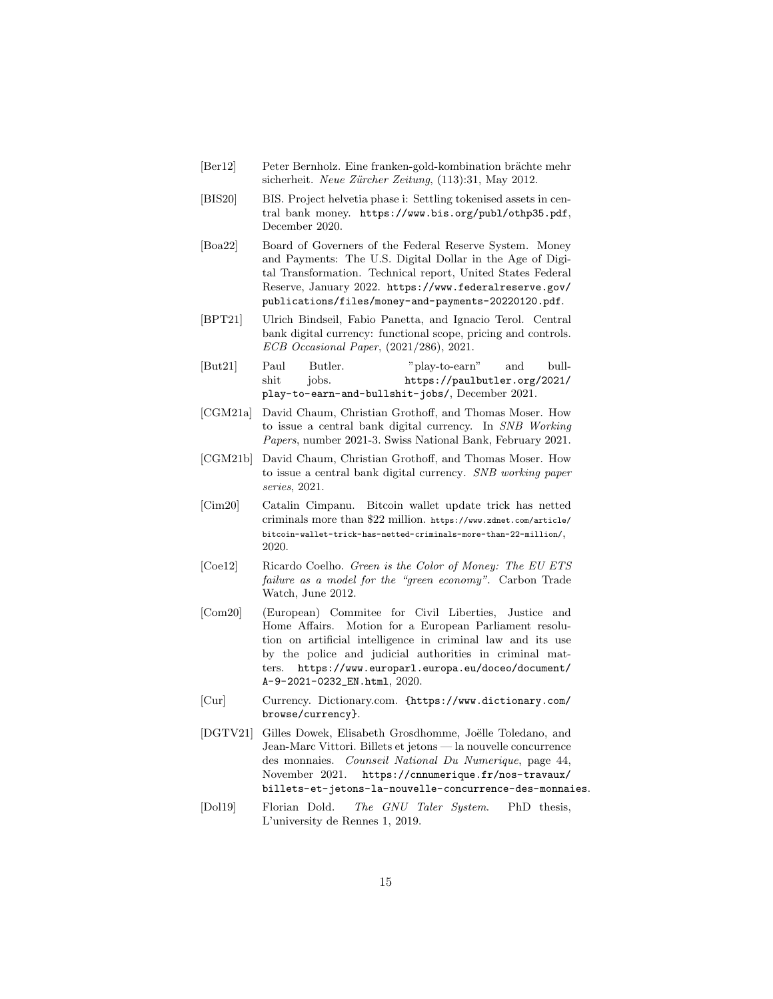- [Ber12] Peter Bernholz. Eine franken-gold-kombination brächte mehr sicherheit. Neue Zürcher Zeitung, (113):31, May 2012.
- [BIS20] BIS. Project helvetia phase i: Settling tokenised assets in central bank money. https://www.bis.org/publ/othp35.pdf, December 2020.
- [Boa22] Board of Governers of the Federal Reserve System. Money and Payments: The U.S. Digital Dollar in the Age of Digital Transformation. Technical report, United States Federal Reserve, January 2022. https://www.federalreserve.gov/ publications/files/money-and-payments-20220120.pdf.
- [BPT21] Ulrich Bindseil, Fabio Panetta, and Ignacio Terol. Central bank digital currency: functional scope, pricing and controls. ECB Occasional Paper, (2021/286), 2021.
- [But21] Paul Butler. "play-to-earn" and bullshit jobs. https://paulbutler.org/2021/ play-to-earn-and-bullshit-jobs/, December 2021.
- [CGM21a] David Chaum, Christian Grothoff, and Thomas Moser. How to issue a central bank digital currency. In SNB Working Papers, number 2021-3. Swiss National Bank, February 2021.
- [CGM21b] David Chaum, Christian Grothoff, and Thomas Moser. How to issue a central bank digital currency. SNB working paper series, 2021.
- [Cim20] Catalin Cimpanu. Bitcoin wallet update trick has netted criminals more than \$22 million. https://www.zdnet.com/article/ bitcoin-wallet-trick-has-netted-criminals-more-than-22-million/, 2020.
- [Coe12] Ricardo Coelho. Green is the Color of Money: The EU ETS failure as a model for the "green economy". Carbon Trade Watch, June 2012.
- [Com20] (European) Commitee for Civil Liberties, Justice and Home Affairs. Motion for a European Parliament resolution on artificial intelligence in criminal law and its use by the police and judicial authorities in criminal matters. https://www.europarl.europa.eu/doceo/document/ A-9-2021-0232\_EN.html, 2020.
- [Cur] Currency. Dictionary.com. {https://www.dictionary.com/ browse/currency}.
- [DGTV21] Gilles Dowek, Elisabeth Grosdhomme, Joëlle Toledano, and Jean-Marc Vittori. Billets et jetons — la nouvelle concurrence des monnaies. Counseil National Du Numerique, page 44, November 2021. https://cnnumerique.fr/nos-travaux/ billets-et-jetons-la-nouvelle-concurrence-des-monnaies.
- [Dol19] Florian Dold. The GNU Taler System. PhD thesis, L'university de Rennes 1, 2019.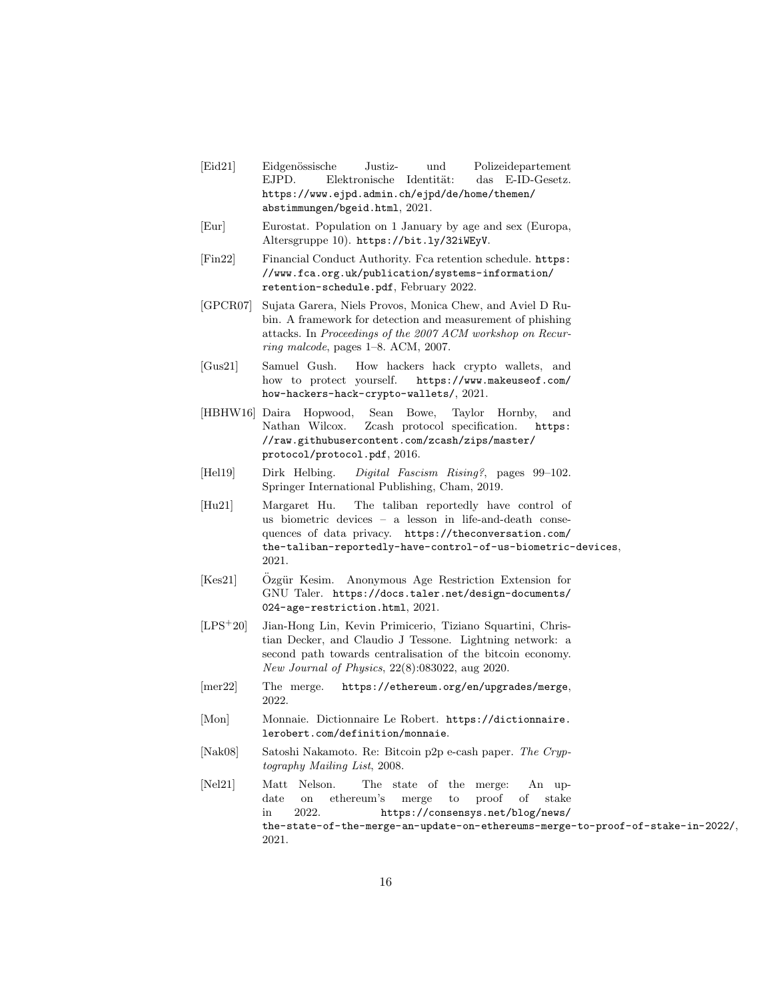- [Eid21] Eidgen¨ossische Justiz- und Polizeidepartement EJPD. Elektronische Identität: das E-ID-Gesetz. https://www.ejpd.admin.ch/ejpd/de/home/themen/ abstimmungen/bgeid.html, 2021.
- [Eur] Eurostat. Population on 1 January by age and sex (Europa, Altersgruppe 10). https://bit.ly/32iWEyV.
- [Fin22] Financial Conduct Authority. Fca retention schedule. https: //www.fca.org.uk/publication/systems-information/ retention-schedule.pdf, February 2022.
- [GPCR07] Sujata Garera, Niels Provos, Monica Chew, and Aviel D Rubin. A framework for detection and measurement of phishing attacks. In Proceedings of the 2007 ACM workshop on Recurring malcode, pages 1–8. ACM, 2007.
- [Gus21] Samuel Gush. How hackers hack crypto wallets, and how to protect yourself. https://www.makeuseof.com/ how-hackers-hack-crypto-wallets/, 2021.
- [HBHW16] Daira Hopwood, Sean Bowe, Taylor Hornby, and Nathan Wilcox. Zcash protocol specification. https: //raw.githubusercontent.com/zcash/zips/master/ protocol/protocol.pdf, 2016.
- [Hel19] Dirk Helbing. Digital Fascism Rising?, pages 99–102. Springer International Publishing, Cham, 2019.
- [Hu21] Margaret Hu. The taliban reportedly have control of us biometric devices – a lesson in life-and-death consequences of data privacy. https://theconversation.com/ the-taliban-reportedly-have-control-of-us-biometric-devices, 2021.
- [Kes21] Ozgür Kesim. Anonymous Age Restriction Extension for GNU Taler. https://docs.taler.net/design-documents/ 024-age-restriction.html, 2021.
- [LPS<sup>+</sup>20] Jian-Hong Lin, Kevin Primicerio, Tiziano Squartini, Christian Decker, and Claudio J Tessone. Lightning network: a second path towards centralisation of the bitcoin economy. New Journal of Physics, 22(8):083022, aug 2020.
- [mer22] The merge. https://ethereum.org/en/upgrades/merge, 2022.
- [Mon] Monnaie. Dictionnaire Le Robert. https://dictionnaire. lerobert.com/definition/monnaie.
- [Nak08] Satoshi Nakamoto. Re: Bitcoin p2p e-cash paper. The Cryptography Mailing List, 2008.
- [Nel21] Matt Nelson. The state of the merge: An update on ethereum's merge to proof of stake in 2022. https://consensys.net/blog/news/ the-state-of-the-merge-an-update-on-ethereums-merge-to-proof-of-stake-in-2022/, 2021.